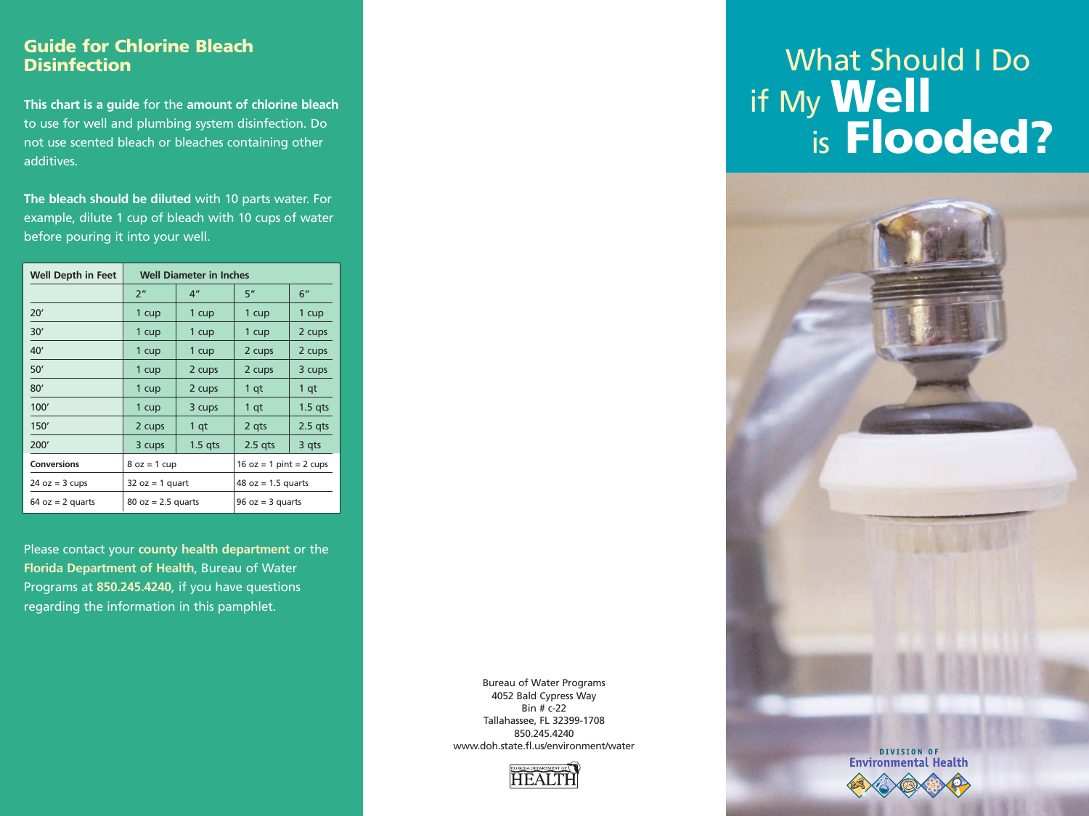## **Guide for Chlorine Bleach Disinfection**

**This chart is a guide** for the **amount of chlorine bleach** to use for well and plumbing system disinfection. Do not use scented bleach or bleaches containing other additives.

**The bleach should be diluted** with 10 parts water. For example, dilute 1 cup of bleach with 10 cups of water before pouring it into your well.

| <b>Well Depth in Feet</b> | <b>Well Diameter in Inches</b> |                 |                           |           |
|---------------------------|--------------------------------|-----------------|---------------------------|-----------|
|                           | 2 <sup>n</sup>                 | 4 <sup>''</sup> | 5"                        | 6"        |
| 20'                       | 1 cup                          | 1 cup           | 1 cup                     | 1 cup     |
| 30'                       | 1 cup                          | 1 cup           | 1 cup                     | 2 cups    |
| 40'                       | 1 cup                          | 1 cup           | 2 cups                    | 2 cups    |
| 50'                       | 1 cup                          | 2 cups          | 2 cups                    | 3 cups    |
| 80'                       | 1 cup                          | 2 cups          | 1 qt                      | 1 qt      |
| 100'                      | 1 cup                          | 3 cups          | 1 qt                      | $1.5$ qts |
| 150'                      | 2 cups                         | 1 qt            | 2 gts                     | $2.5$ qts |
| 200'                      | 3 cups                         | $1.5$ qts       | $2.5$ qts                 | 3 qts     |
| <b>Conversions</b>        | $8 oz = 1 cup$                 |                 | $16 oz = 1 pint = 2 cups$ |           |
| $24 oz = 3 cups$          | $32 oz = 1 quart$              |                 | $48 oz = 1.5 quarts$      |           |
| $64$ oz = 2 quarts        | $80 oz = 2.5 quarts$           |                 | $96 oz = 3 quarts$        |           |

Please contact your **county health department** or the **Florida Department of Health**, Bureau of Water Programs at **850.245.4240**, if you have questions regarding the information in this pamphlet.

# What Should I Do if My **Well** is **Flooded?**





Bureau of Water Programs 4052 Bald Cypress Way Bin # c-22 Tallahassee, FL 32399-1708 850.245.4240 www.doh.state.fl.us/environment/water